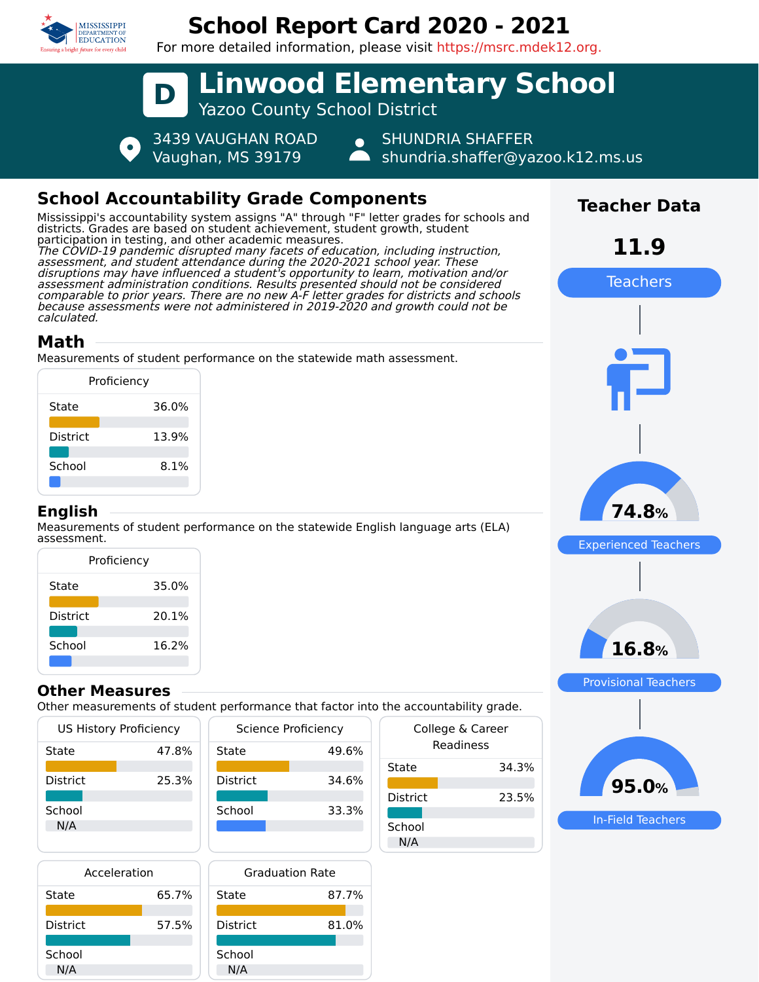

# **School Report Card 2020 - 2021**

For more detailed information, please visit https://msrc.mdek12.org.



# **School Accountability Grade Components**

Mississippi's accountability system assigns "A" through "F" letter grades for schools and districts. Grades are based on student achievement, student growth, student participation in testing, and other academic measures. The COVID-19 pandemic disrupted many facets of education, including instruction, assessment, and student attendance during the 2020-2021 school year. These disruptions may have influenced a student's opportunity to learn, motivation and/or assessment administration conditions. Results presented should not be considered comparable to prior years. There are no new A-F letter grades for districts and schools because assessments were not administered in 2019-2020 and growth could not be calculated.

## **Math**

Measurements of student performance on the statewide math assessment.

| Proficiency     |       |  |  |  |
|-----------------|-------|--|--|--|
| State           | 36.0% |  |  |  |
| <b>District</b> | 13.9% |  |  |  |
| School          | 8.1%  |  |  |  |
|                 |       |  |  |  |

#### **English**

Measurements of student performance on the statewide English language arts (ELA) assessment.

| Proficiency     |       |  |  |  |
|-----------------|-------|--|--|--|
| State           | 35.0% |  |  |  |
| <b>District</b> | 20.1% |  |  |  |
| School          | 16.2% |  |  |  |

#### **Other Measures**

Other measurements of student performance that factor into the accountability grade.

| US History Proficiency |       | <b>Science Proficiency</b> |       |
|------------------------|-------|----------------------------|-------|
| State                  | 47.8% | State                      | 49.6% |
| <b>District</b>        | 25.3% | <b>District</b>            | 34.6% |
| School<br>N/A          |       | School                     | 33.3% |
|                        |       |                            |       |

| Acceleration    |       |  |
|-----------------|-------|--|
| State           | 65.7% |  |
| <b>District</b> | 57.5% |  |
| School          |       |  |



| $\frac{1}{2}$ . accountability grade: |       |  |  |  |
|---------------------------------------|-------|--|--|--|
| College & Career<br>Readiness         |       |  |  |  |
| State                                 | 34.3% |  |  |  |
| <b>District</b>                       | 23.5% |  |  |  |
| School<br>N/A                         |       |  |  |  |
|                                       |       |  |  |  |



In-Field Teachers